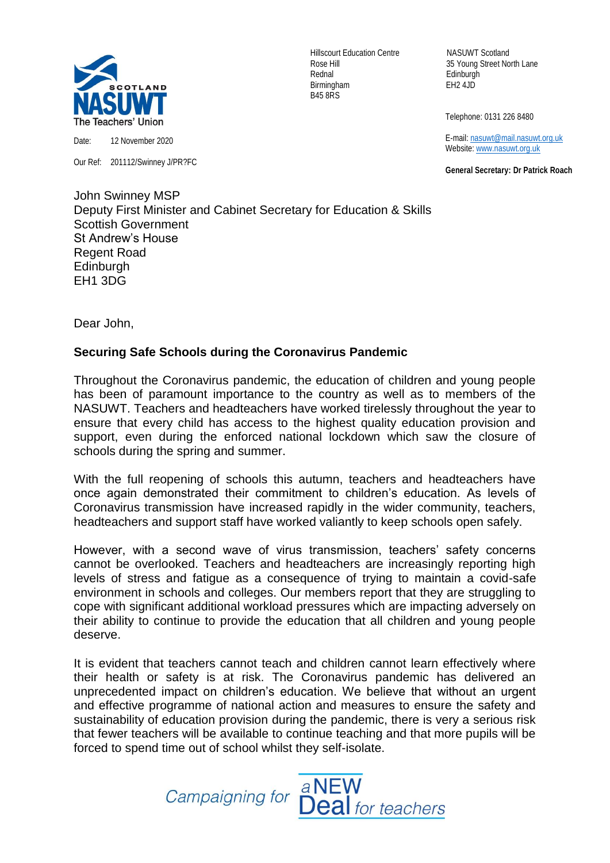

Date: 12 November 2020

Our Ref: 201112/Swinney J/PR?FC

Hillscourt Education Centre NASUWT Scotland Rednal Edinburgh Birmingham EH2 4JD B45 8RS

Rose Hill 35 Young Street North Lane

Telephone: 0131 226 8480

 E-mail[: nasuwt@mail.nasuwt.org.uk](mailto:nasuwt@mail.nasuwt.org.uk) Website: [www.nasuwt.org.uk](http://www.nasuwt.org.uk/)

 **General Secretary: Dr Patrick Roach**

John Swinney MSP Deputy First Minister and Cabinet Secretary for Education & Skills Scottish Government St Andrew's House Regent Road **Edinburgh** EH1 3DG

Dear John,

## **Securing Safe Schools during the Coronavirus Pandemic**

Throughout the Coronavirus pandemic, the education of children and young people has been of paramount importance to the country as well as to members of the NASUWT. Teachers and headteachers have worked tirelessly throughout the year to ensure that every child has access to the highest quality education provision and support, even during the enforced national lockdown which saw the closure of schools during the spring and summer.

With the full reopening of schools this autumn, teachers and headteachers have once again demonstrated their commitment to children's education. As levels of Coronavirus transmission have increased rapidly in the wider community, teachers, headteachers and support staff have worked valiantly to keep schools open safely.

However, with a second wave of virus transmission, teachers' safety concerns cannot be overlooked. Teachers and headteachers are increasingly reporting high levels of stress and fatigue as a consequence of trying to maintain a covid-safe environment in schools and colleges. Our members report that they are struggling to cope with significant additional workload pressures which are impacting adversely on their ability to continue to provide the education that all children and young people deserve.

It is evident that teachers cannot teach and children cannot learn effectively where their health or safety is at risk. The Coronavirus pandemic has delivered an unprecedented impact on children's education. We believe that without an urgent and effective programme of national action and measures to ensure the safety and sustainability of education provision during the pandemic, there is very a serious risk that fewer teachers will be available to continue teaching and that more pupils will be forced to spend time out of school whilst they self-isolate.